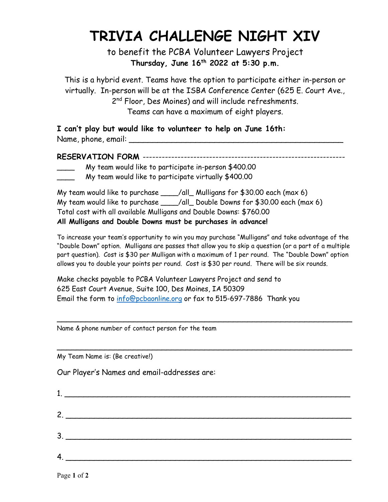## TRIVIA CHALLENGE NIGHT XIV

to benefit the PCBA Volunteer Lawyers Project Thursday, June  $16<sup>th</sup>$  2022 at 5:30 p.m.

This is a hybrid event. Teams have the option to participate either in-person or virtually. In-person will be at the ISBA Conference Center (625 E. Court Ave., 2<sup>nd</sup> Floor, Des Moines) and will include refreshments. Teams can have a maximum of eight players.

I can't play but would like to volunteer to help on June 16th: Name, phone, email: \_\_\_\_\_\_\_\_\_\_\_\_\_\_\_\_\_\_\_\_\_\_\_\_\_\_\_\_\_\_\_\_\_\_\_\_\_\_\_\_\_\_\_\_\_

RESERVATION FORM ----------------------------------------------------------------

- My team would like to participate in-person \$400.00
- My team would like to participate virtually \$400.00

My team would like to purchase \_\_\_\_/all\_ Mulligans for \$30.00 each (max 6) My team would like to purchase \_\_\_\_/all\_ Double Downs for \$30.00 each (max 6) Total cost with all available Mulligans and Double Downs: \$760.00 All Mulligans and Double Downs must be purchases in advance!

To increase your team's opportunity to win you may purchase "Mulligans" and take advantage of the "Double Down" option. Mulligans are passes that allow you to skip a question (or a part of a multiple part question). Cost is \$30 per Mulligan with a maximum of 1 per round. The "Double Down" option allows you to double your points per round. Cost is \$30 per round. There will be six rounds.

\_\_\_\_\_\_\_\_\_\_\_\_\_\_\_\_\_\_\_\_\_\_\_\_\_\_\_\_\_\_\_\_\_\_\_\_\_\_\_\_\_\_\_\_\_\_\_\_\_\_\_\_\_\_\_\_\_\_\_\_\_\_

\_\_\_\_\_\_\_\_\_\_\_\_\_\_\_\_\_\_\_\_\_\_\_\_\_\_\_\_\_\_\_\_\_\_\_\_\_\_\_\_\_\_\_\_\_\_\_\_\_\_\_\_\_\_\_\_\_\_\_\_\_\_

Make checks payable to PCBA Volunteer Lawyers Project and send to 625 East Court Avenue, Suite 100, Des Moines, IA 50309 Email the form to info@pcbaonline.org or fax to 515-697-7886 Thank you

Name & phone number of contact person for the team

My Team Name is: (Be creative!)

Our Player's Names and email-addresses are:

| $2.$ $\overline{\phantom{a}}$       |
|-------------------------------------|
| $\begin{array}{c}\n3.\n\end{array}$ |
| 4.                                  |